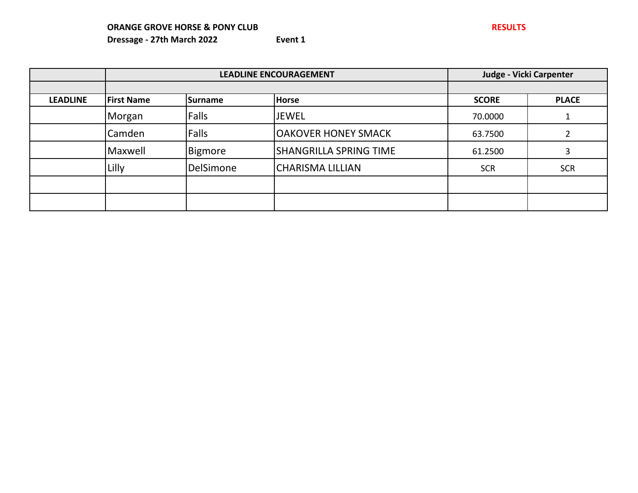|                 | <b>LEADLINE ENCOURAGEMENT</b> |           | Judge - Vicki Carpenter       |              |              |
|-----------------|-------------------------------|-----------|-------------------------------|--------------|--------------|
|                 |                               |           |                               |              |              |
| <b>LEADLINE</b> | <b>First Name</b>             | Surname   | <b>Horse</b>                  | <b>SCORE</b> | <b>PLACE</b> |
|                 | Morgan                        | Falls     | <b>JEWEL</b>                  | 70.0000      |              |
|                 | Camden                        | Falls     | <b>OAKOVER HONEY SMACK</b>    | 63.7500      |              |
|                 | Maxwell                       | Bigmore   | <b>SHANGRILLA SPRING TIME</b> | 61.2500      |              |
|                 | Lilly                         | DelSimone | <b>CHARISMA LILLIAN</b>       | <b>SCR</b>   | <b>SCR</b>   |
|                 |                               |           |                               |              |              |
|                 |                               |           |                               |              |              |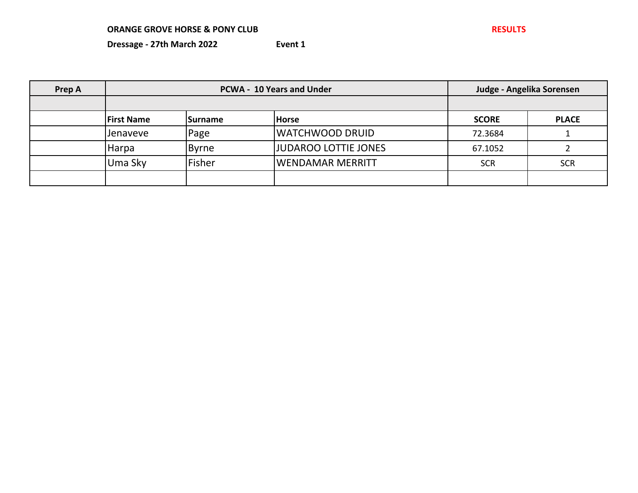| Prep A |                   | <b>PCWA - 10 Years and Under</b><br>Judge - Angelika Sorensen |                              |              |              |  |
|--------|-------------------|---------------------------------------------------------------|------------------------------|--------------|--------------|--|
|        |                   |                                                               |                              |              |              |  |
|        | <b>First Name</b> | <b>Surname</b>                                                | <b>Horse</b>                 | <b>SCORE</b> | <b>PLACE</b> |  |
|        | <b>Jenaveve</b>   | Page                                                          | WATCHWOOD DRUID              | 72.3684      |              |  |
|        | <b>Harpa</b>      | <b>Byrne</b>                                                  | <b>JJUDAROO LOTTIE JONES</b> | 67.1052      |              |  |
|        | Uma Sky           | Fisher                                                        | WENDAMAR MERRITT             | <b>SCR</b>   | <b>SCR</b>   |  |
|        |                   |                                                               |                              |              |              |  |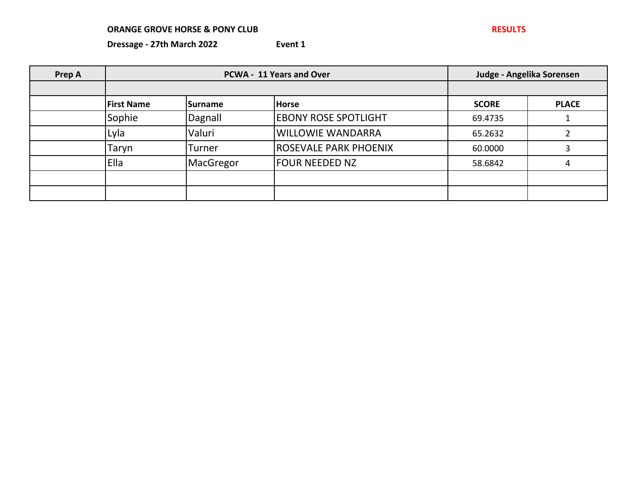| Prep A |                   | PCWA - 11 Years and Over |                              | Judge - Angelika Sorensen |              |
|--------|-------------------|--------------------------|------------------------------|---------------------------|--------------|
|        |                   |                          |                              |                           |              |
|        | <b>First Name</b> | <b>Surname</b>           | <b>Horse</b>                 | <b>SCORE</b>              | <b>PLACE</b> |
|        | Sophie            | Dagnall                  | <b>EBONY ROSE SPOTLIGHT</b>  | 69.4735                   |              |
|        | Lyla              | Valuri                   | <b>WILLOWIE WANDARRA</b>     | 65.2632                   |              |
|        | Taryn             | Turner                   | <b>ROSEVALE PARK PHOENIX</b> | 60.0000                   |              |
|        | Ella              | MacGregor                | FOUR NEEDED NZ               | 58.6842                   | 4            |
|        |                   |                          |                              |                           |              |
|        |                   |                          |                              |                           |              |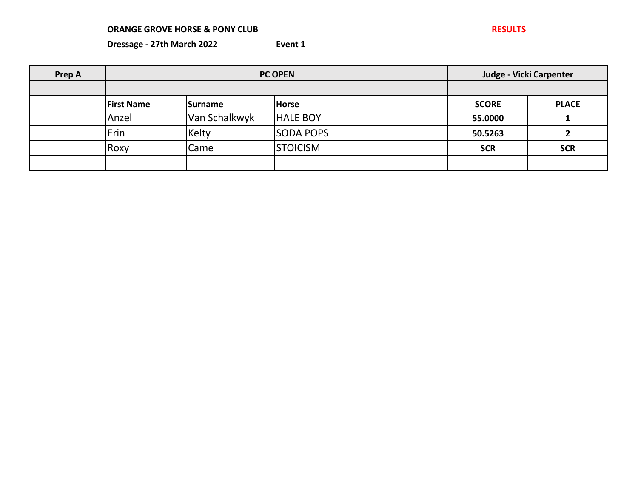| Prep A |                   | <b>PC OPEN</b> |                  |              | Judge - Vicki Carpenter |  |
|--------|-------------------|----------------|------------------|--------------|-------------------------|--|
|        |                   |                |                  |              |                         |  |
|        | <b>First Name</b> | <b>Surname</b> | <b>Horse</b>     | <b>SCORE</b> | <b>PLACE</b>            |  |
|        | Anzel             | Van Schalkwyk  | <b>HALE BOY</b>  | 55.0000      |                         |  |
|        | Erin              | Kelty          | <b>SODA POPS</b> | 50.5263      |                         |  |
|        | Roxy              | Came           | <b>STOICISM</b>  | <b>SCR</b>   | <b>SCR</b>              |  |
|        |                   |                |                  |              |                         |  |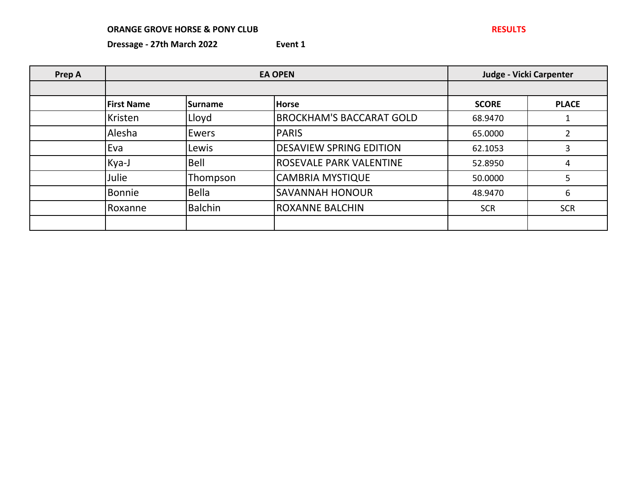| Prep A |                   |                |                                 | <b>Judge - Vicki Carpenter</b> |              |
|--------|-------------------|----------------|---------------------------------|--------------------------------|--------------|
|        |                   |                |                                 |                                |              |
|        | <b>First Name</b> | <b>Surname</b> | <b>Horse</b>                    | <b>SCORE</b>                   | <b>PLACE</b> |
|        | Kristen           | Lloyd          | <b>BROCKHAM'S BACCARAT GOLD</b> | 68.9470                        |              |
|        | Alesha            | <b>Ewers</b>   | <b>PARIS</b>                    | 65.0000                        |              |
|        | Eva               | Lewis          | <b>DESAVIEW SPRING EDITION</b>  | 62.1053                        | 3            |
|        | Kya-J             | Bell           | <b>ROSEVALE PARK VALENTINE</b>  | 52.8950                        | 4            |
|        | Julie             | Thompson       | <b>CAMBRIA MYSTIQUE</b>         | 50.0000                        | 5            |
|        | Bonnie            | Bella          | <b>SAVANNAH HONOUR</b>          | 48.9470                        | 6            |
|        | Roxanne           | <b>Balchin</b> | <b>ROXANNE BALCHIN</b>          | <b>SCR</b>                     | <b>SCR</b>   |
|        |                   |                |                                 |                                |              |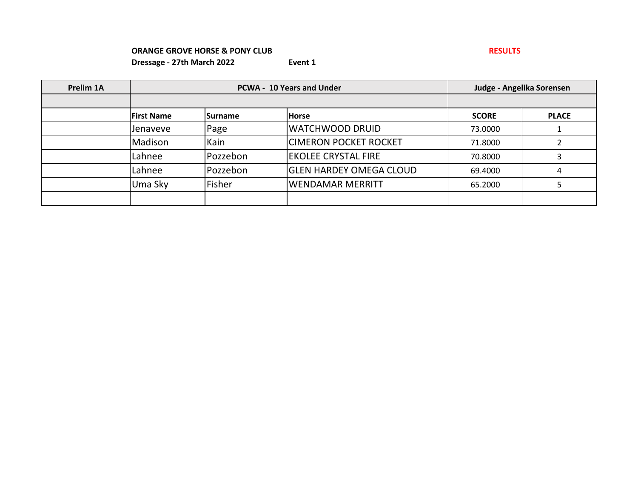| Prelim 1A |                   | <b>PCWA - 10 Years and Under</b> |                                | Judge - Angelika Sorensen |              |
|-----------|-------------------|----------------------------------|--------------------------------|---------------------------|--------------|
|           |                   |                                  |                                |                           |              |
|           | <b>First Name</b> | <b>ISurname</b>                  | <b>Horse</b>                   | <b>SCORE</b>              | <b>PLACE</b> |
|           | <b>Jenaveve</b>   | Page                             | <b>WATCHWOOD DRUID</b>         | 73.0000                   |              |
|           | Madison           | Kain                             | <b>CIMERON POCKET ROCKET</b>   | 71.8000                   |              |
|           | Lahnee            | Pozzebon                         | <b>EKOLEE CRYSTAL FIRE</b>     | 70.8000                   |              |
|           | Lahnee            | Pozzebon                         | <b>GLEN HARDEY OMEGA CLOUD</b> | 69.4000                   |              |
|           | Uma Sky           | Fisher                           | <b>WENDAMAR MERRITT</b>        | 65.2000                   |              |
|           |                   |                                  |                                |                           |              |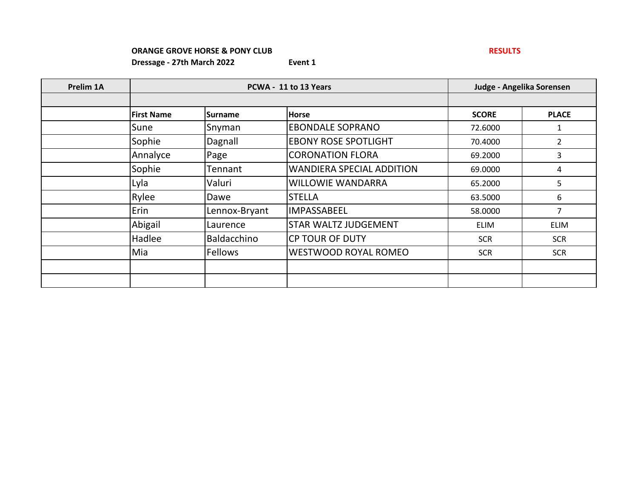| Prelim 1A |                   |                | PCWA - 11 to 13 Years       |              | Judge - Angelika Sorensen |  |
|-----------|-------------------|----------------|-----------------------------|--------------|---------------------------|--|
|           |                   |                |                             |              |                           |  |
|           | <b>First Name</b> | Surname        | <b>Horse</b>                | <b>SCORE</b> | <b>PLACE</b>              |  |
|           | Sune              | Snyman         | <b>EBONDALE SOPRANO</b>     | 72.6000      | 1                         |  |
|           | Sophie            | Dagnall        | <b>EBONY ROSE SPOTLIGHT</b> | 70.4000      | $\overline{2}$            |  |
|           | Annalyce          | Page           | <b>CORONATION FLORA</b>     | 69.2000      | 3                         |  |
|           | Sophie            | Tennant        | WANDIERA SPECIAL ADDITION   | 69.0000      | 4                         |  |
|           | Lyla              | Valuri         | WILLOWIE WANDARRA           | 65.2000      | 5                         |  |
|           | Rylee             | Dawe           | <b>STELLA</b>               | 63.5000      | 6                         |  |
|           | Erin              | Lennox-Bryant  | <b>IMPASSABEEL</b>          | 58.0000      | 7                         |  |
|           | Abigail           | Laurence       | <b>STAR WALTZ JUDGEMENT</b> | <b>ELIM</b>  | <b>ELIM</b>               |  |
|           | Hadlee            | Baldacchino    | <b>CP TOUR OF DUTY</b>      | <b>SCR</b>   | <b>SCR</b>                |  |
|           | Mia               | <b>Fellows</b> | WESTWOOD ROYAL ROMEO        | <b>SCR</b>   | <b>SCR</b>                |  |
|           |                   |                |                             |              |                           |  |
|           |                   |                |                             |              |                           |  |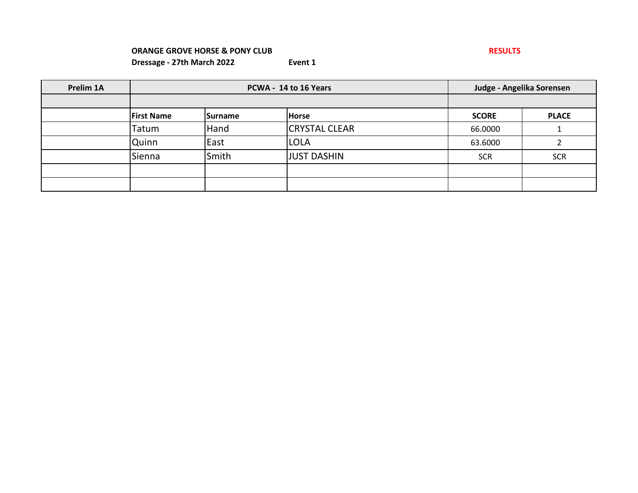| Prelim 1A |                   | PCWA - 14 to 16 Years | Judge - Angelika Sorensen |              |              |
|-----------|-------------------|-----------------------|---------------------------|--------------|--------------|
|           |                   |                       |                           |              |              |
|           | <b>First Name</b> | <b>ISurname</b>       | <b>Horse</b>              | <b>SCORE</b> | <b>PLACE</b> |
|           | Tatum             | Hand                  | <b>CRYSTAL CLEAR</b>      | 66.0000      |              |
|           | Quinn             | East                  | <b>LOLA</b>               | 63.6000      |              |
|           | Sienna            | Smith                 | <b>JUST DASHIN</b>        | <b>SCR</b>   | <b>SCR</b>   |
|           |                   |                       |                           |              |              |
|           |                   |                       |                           |              |              |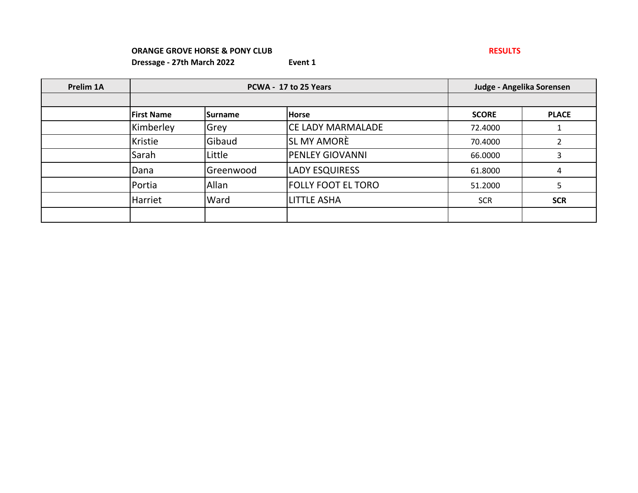| Prelim 1A |                   | PCWA - 17 to 25 Years | Judge - Angelika Sorensen |              |              |
|-----------|-------------------|-----------------------|---------------------------|--------------|--------------|
|           |                   |                       |                           |              |              |
|           | <b>First Name</b> | <b>ISurname</b>       | <b>Horse</b>              | <b>SCORE</b> | <b>PLACE</b> |
|           | Kimberley         | <b>Grey</b>           | <b>CE LADY MARMALADE</b>  | 72.4000      |              |
|           | Kristie           | Gibaud                | <b>SL MY AMORÈ</b>        | 70.4000      |              |
|           | Sarah             | Little                | <b>PENLEY GIOVANNI</b>    | 66.0000      | 3            |
|           | Dana              | Greenwood             | <b>LADY ESQUIRESS</b>     | 61.8000      | 4            |
|           | Portia            | Allan                 | FOLLY FOOT EL TORO        | 51.2000      | 5            |
|           | Harriet           | Ward                  | <b>LITTLE ASHA</b>        | <b>SCR</b>   | <b>SCR</b>   |
|           |                   |                       |                           |              |              |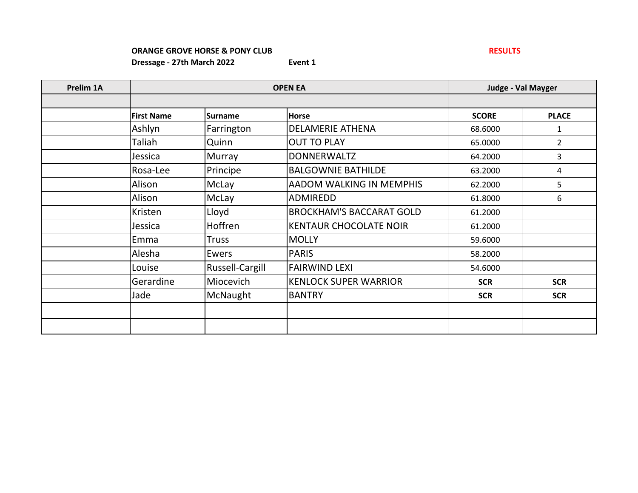| Prelim 1A |                   | <b>OPEN EA</b>  |                                 | <b>Judge - Val Mayger</b> |                |
|-----------|-------------------|-----------------|---------------------------------|---------------------------|----------------|
|           |                   |                 |                                 |                           |                |
|           | <b>First Name</b> | <b>Surname</b>  | <b>Horse</b>                    | <b>SCORE</b>              | <b>PLACE</b>   |
|           | Ashlyn            | Farrington      | <b>DELAMERIE ATHENA</b>         | 68.6000                   | 1              |
|           | Taliah            | Quinn           | <b>OUT TO PLAY</b>              | 65.0000                   | $\overline{2}$ |
|           | Jessica           | <b>Murray</b>   | <b>DONNERWALTZ</b>              | 64.2000                   | 3              |
|           | Rosa-Lee          | Principe        | <b>BALGOWNIE BATHILDE</b>       | 63.2000                   | 4              |
|           | Alison            | McLay           | <b>AADOM WALKING IN MEMPHIS</b> | 62.2000                   | 5              |
|           | Alison            | McLay           | <b>ADMIREDD</b>                 | 61.8000                   | 6              |
|           | Kristen           | Lloyd           | <b>BROCKHAM'S BACCARAT GOLD</b> | 61.2000                   |                |
|           | Jessica           | Hoffren         | <b>KENTAUR CHOCOLATE NOIR</b>   | 61.2000                   |                |
|           | Emma              | <b>Truss</b>    | <b>MOLLY</b>                    | 59.6000                   |                |
|           | Alesha            | Ewers           | <b>PARIS</b>                    | 58.2000                   |                |
|           | Louise            | Russell-Cargill | <b>FAIRWIND LEXI</b>            | 54.6000                   |                |
|           | Gerardine         | Miocevich       | <b>KENLOCK SUPER WARRIOR</b>    | <b>SCR</b>                | <b>SCR</b>     |
|           | Jade              | McNaught        | <b>BANTRY</b>                   | <b>SCR</b>                | <b>SCR</b>     |
|           |                   |                 |                                 |                           |                |
|           |                   |                 |                                 |                           |                |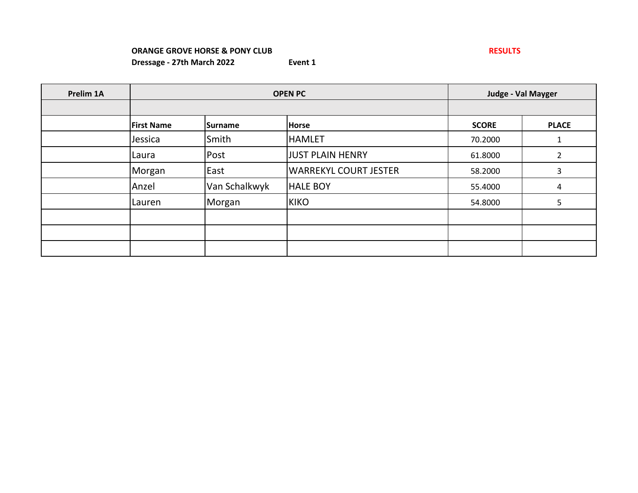# **ORANGE GROVE HORSE & PONY CLUB RESULTS Dressage - 27th March 2022 Event 1**

| Prelim 1A |                   | <b>OPEN PC</b> | Judge - Val Mayger           |              |                |
|-----------|-------------------|----------------|------------------------------|--------------|----------------|
|           |                   |                |                              |              |                |
|           | <b>First Name</b> | <b>Surname</b> | <b>Horse</b>                 | <b>SCORE</b> | <b>PLACE</b>   |
|           | Jessica           | Smith          | <b>HAMLET</b>                | 70.2000      | 1              |
|           | Laura             | Post           | <b>JUST PLAIN HENRY</b>      | 61.8000      | $\mathfrak{p}$ |
|           | Morgan            | East           | <b>WARREKYL COURT JESTER</b> | 58.2000      | 3              |
|           | Anzel             | Van Schalkwyk  | <b>HALE BOY</b>              | 55.4000      | 4              |
|           | Lauren            | Morgan         | <b>KIKO</b>                  | 54.8000      | 5              |
|           |                   |                |                              |              |                |
|           |                   |                |                              |              |                |
|           |                   |                |                              |              |                |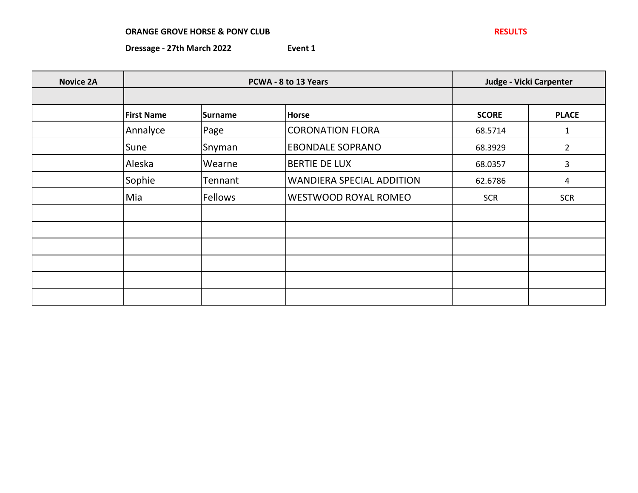| <b>Novice 2A</b> |                   | PCWA - 8 to 13 Years |                                  | Judge - Vicki Carpenter |                |
|------------------|-------------------|----------------------|----------------------------------|-------------------------|----------------|
|                  | <b>First Name</b> | <b>Surname</b>       | <b>Horse</b>                     | <b>SCORE</b>            | <b>PLACE</b>   |
|                  | Annalyce          | Page                 | <b>CORONATION FLORA</b>          | 68.5714                 | 1              |
|                  | Sune              | Snyman               | <b>EBONDALE SOPRANO</b>          | 68.3929                 | $\overline{2}$ |
|                  | Aleska            | Wearne               | <b>BERTIE DE LUX</b>             | 68.0357                 | 3              |
|                  | Sophie            | Tennant              | <b>WANDIERA SPECIAL ADDITION</b> | 62.6786                 | 4              |
|                  | Mia               | Fellows              | <b>WESTWOOD ROYAL ROMEO</b>      | <b>SCR</b>              | <b>SCR</b>     |
|                  |                   |                      |                                  |                         |                |
|                  |                   |                      |                                  |                         |                |
|                  |                   |                      |                                  |                         |                |
|                  |                   |                      |                                  |                         |                |
|                  |                   |                      |                                  |                         |                |
|                  |                   |                      |                                  |                         |                |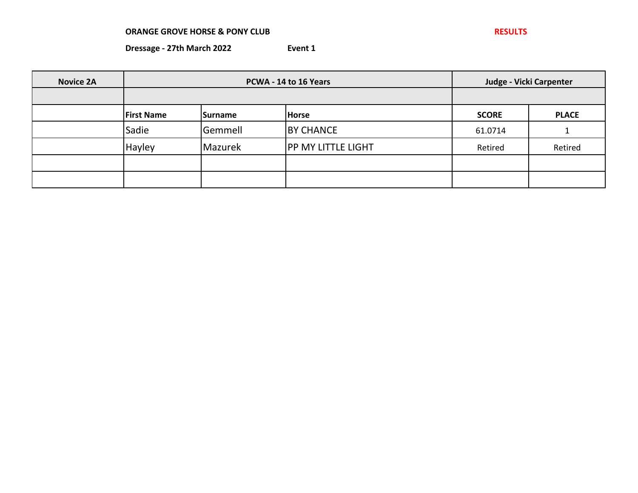**Dressage - 27th March 2022 Event 1**

**Novice 2A First Name Surname Horse SCORE PLACE** Sadie Gemmell BY CHANCE 61.0714 1 Hayley Mazurek |PP MY LITTLE LIGHT | Retired | Retired **PCWA - 14 to 16 Years Judge - Vicki Carpenter**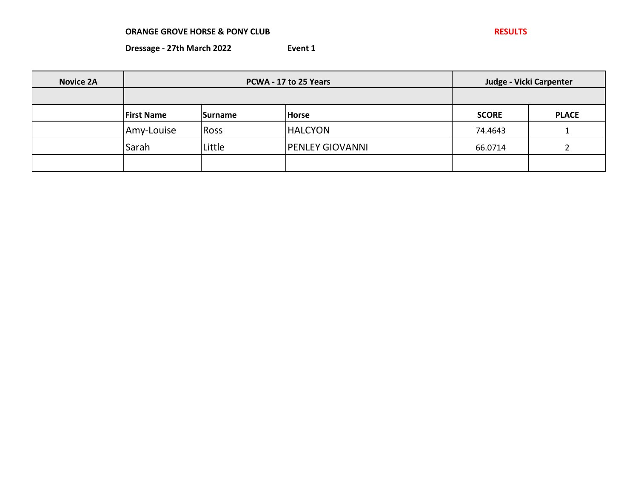| <b>Novice 2A</b> | PCWA - 17 to 25 Years |                |                        | Judge - Vicki Carpenter |              |
|------------------|-----------------------|----------------|------------------------|-------------------------|--------------|
|                  |                       |                |                        |                         |              |
|                  | <b>First Name</b>     | <b>Surname</b> | <b>Horse</b>           | <b>SCORE</b>            | <b>PLACE</b> |
|                  | Amy-Louise            | <b>Ross</b>    | <b>HALCYON</b>         | 74.4643                 |              |
|                  | Sarah                 | Little         | <b>PENLEY GIOVANNI</b> | 66.0714                 |              |
|                  |                       |                |                        |                         |              |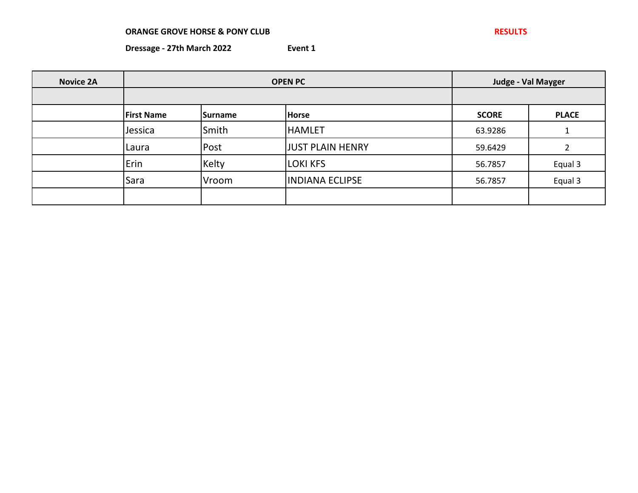| <b>Novice 2A</b> | <b>OPEN PC</b>    |                |                         |              | Judge - Val Mayger |  |
|------------------|-------------------|----------------|-------------------------|--------------|--------------------|--|
|                  | <b>First Name</b> | <b>Surname</b> | <b>Horse</b>            | <b>SCORE</b> | <b>PLACE</b>       |  |
|                  | Jessica           | Smith          | <b>HAMLET</b>           | 63.9286      |                    |  |
|                  | Laura             | Post           | <b>JUST PLAIN HENRY</b> | 59.6429      |                    |  |
|                  | Erin              | Kelty          | <b>LOKI KFS</b>         | 56.7857      | Equal 3            |  |
|                  | Sara              | Vroom          | <b>INDIANA ECLIPSE</b>  | 56.7857      | Equal 3            |  |
|                  |                   |                |                         |              |                    |  |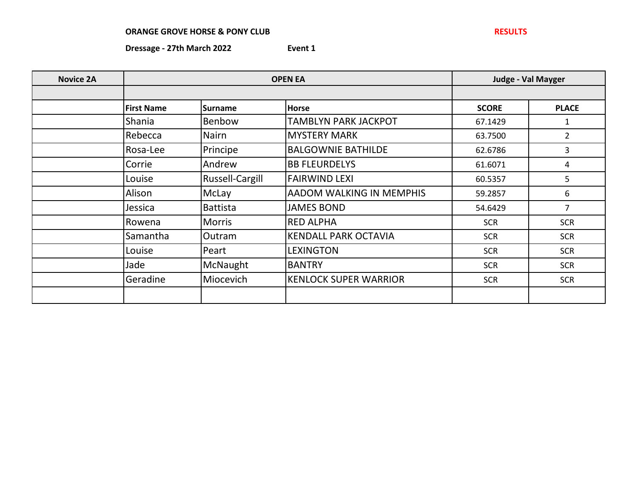| <b>Novice 2A</b> | <b>OPEN EA</b>    |                 |                                 |              | <b>Judge - Val Mayger</b> |
|------------------|-------------------|-----------------|---------------------------------|--------------|---------------------------|
|                  |                   |                 |                                 |              |                           |
|                  | <b>First Name</b> | <b>Surname</b>  | <b>Horse</b>                    | <b>SCORE</b> | <b>PLACE</b>              |
|                  | Shania            | Benbow          | <b>TAMBLYN PARK JACKPOT</b>     | 67.1429      | 1                         |
|                  | Rebecca           | <b>Nairn</b>    | <b>MYSTERY MARK</b>             | 63.7500      | $\overline{2}$            |
|                  | Rosa-Lee          | Principe        | <b>BALGOWNIE BATHILDE</b>       | 62.6786      | 3                         |
|                  | Corrie            | Andrew          | <b>BB FLEURDELYS</b>            | 61.6071      | 4                         |
|                  | Louise            | Russell-Cargill | <b>FAIRWIND LEXI</b>            | 60.5357      | 5                         |
|                  | Alison            | McLay           | <b>AADOM WALKING IN MEMPHIS</b> | 59.2857      | 6                         |
|                  | Jessica           | <b>Battista</b> | <b>JAMES BOND</b>               | 54.6429      | 7                         |
|                  | Rowena            | <b>Morris</b>   | <b>RED ALPHA</b>                | <b>SCR</b>   | <b>SCR</b>                |
|                  | Samantha          | Outram          | <b>KENDALL PARK OCTAVIA</b>     | <b>SCR</b>   | <b>SCR</b>                |
|                  | Louise            | Peart           | <b>LEXINGTON</b>                | <b>SCR</b>   | <b>SCR</b>                |
|                  | Jade              | McNaught        | <b>BANTRY</b>                   | <b>SCR</b>   | <b>SCR</b>                |
|                  | Geradine          | Miocevich       | <b>KENLOCK SUPER WARRIOR</b>    | <b>SCR</b>   | <b>SCR</b>                |
|                  |                   |                 |                                 |              |                           |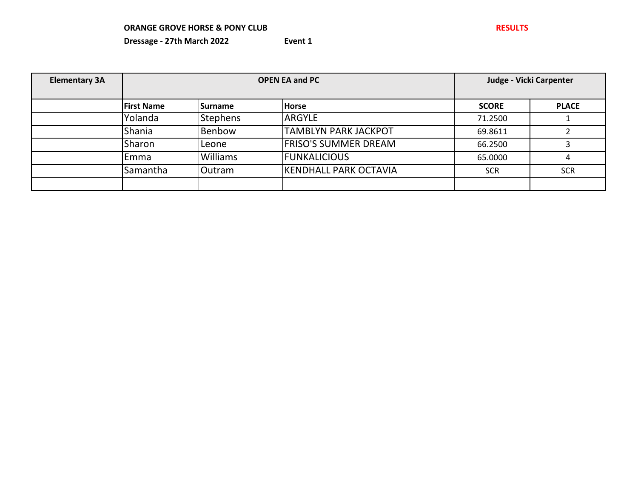| <b>Elementary 3A</b> | <b>OPEN EA and PC</b> |                 |                             |              | Judge - Vicki Carpenter |  |
|----------------------|-----------------------|-----------------|-----------------------------|--------------|-------------------------|--|
|                      |                       |                 |                             |              |                         |  |
|                      | <b>First Name</b>     | <b>Surname</b>  | <b>Horse</b>                | <b>SCORE</b> | <b>PLACE</b>            |  |
|                      | Yolanda               | <b>Stephens</b> | ARGYLE                      | 71.2500      |                         |  |
|                      | Shania                | Benbow          | <b>TAMBLYN PARK JACKPOT</b> | 69.8611      |                         |  |
|                      | Sharon                | Leone           | <b>FRISO'S SUMMER DREAM</b> | 66.2500      |                         |  |
|                      | Emma                  | <b>Williams</b> | <b>FUNKALICIOUS</b>         | 65.0000      | 4                       |  |
|                      | Samantha              | <b>Outram</b>   | KENDHALL PARK OCTAVIA       | <b>SCR</b>   | <b>SCR</b>              |  |
|                      |                       |                 |                             |              |                         |  |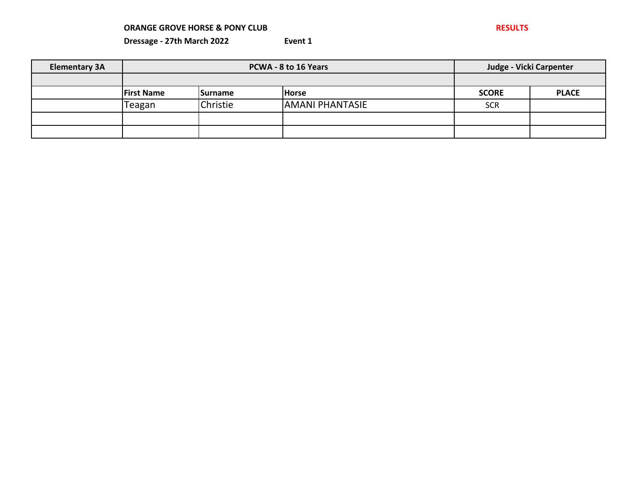| <b>Elementary 3A</b> |                   | PCWA - 8 to 16 Years | Judge - Vicki Carpenter |              |              |
|----------------------|-------------------|----------------------|-------------------------|--------------|--------------|
|                      |                   |                      |                         |              |              |
|                      | <b>First Name</b> | <b>ISurname</b>      | <b>Horse</b>            | <b>SCORE</b> | <b>PLACE</b> |
|                      | Teagan            | Christie             | <b>AMANI PHANTASIE</b>  | <b>SCR</b>   |              |
|                      |                   |                      |                         |              |              |
|                      |                   |                      |                         |              |              |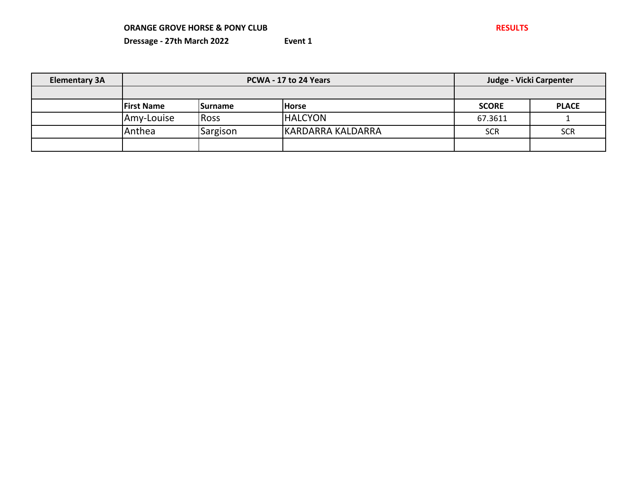| <b>Elementary 3A</b> | PCWA - 17 to 24 Years |                 |                   |              | Judge - Vicki Carpenter |  |
|----------------------|-----------------------|-----------------|-------------------|--------------|-------------------------|--|
|                      |                       |                 |                   |              |                         |  |
|                      | <b>First Name</b>     | <b>ISurname</b> | <b>Horse</b>      | <b>SCORE</b> | <b>PLACE</b>            |  |
|                      | Amy-Louise            | <b>Ross</b>     | <b>HALCYON</b>    | 67.3611      |                         |  |
|                      | Anthea                | Sargison        | KARDARRA KALDARRA | <b>SCR</b>   | <b>SCR</b>              |  |
|                      |                       |                 |                   |              |                         |  |